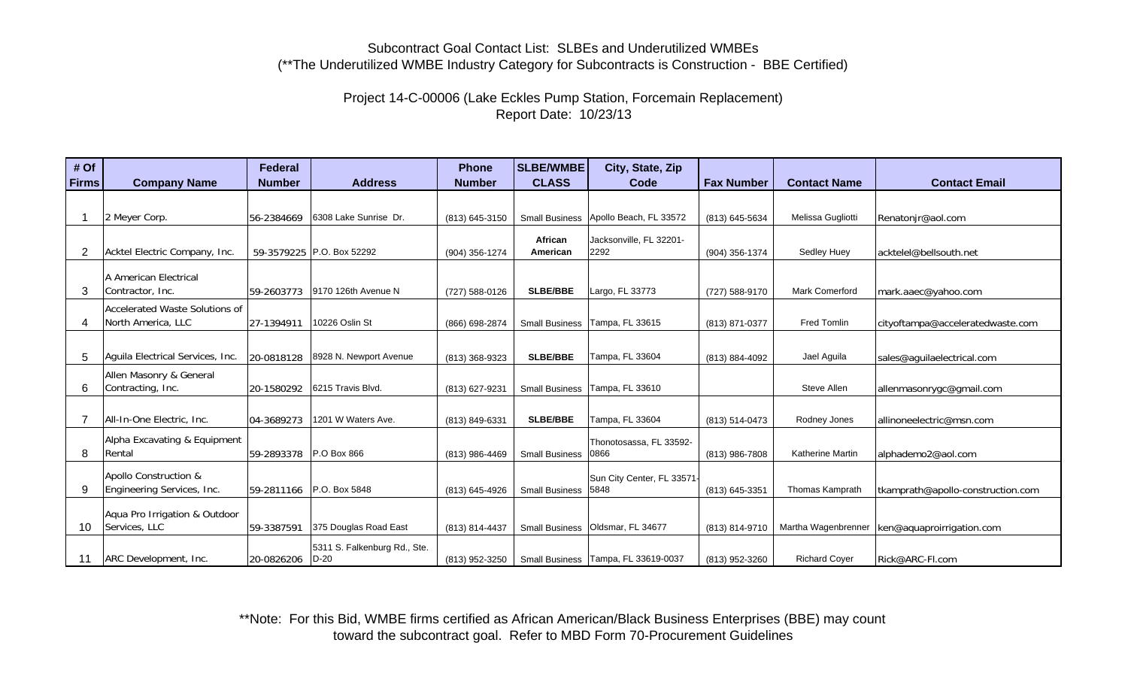# Project 14-C-00006 (Lake Eckles Pump Station, Forcemain Replacement) Report Date: 10/23/13

| # Of         |                                                      | <b>Federal</b> |                                        | <b>Phone</b>   | <b>SLBE/WMBE</b>      | City, State, Zip                      |                   |                        |                                   |
|--------------|------------------------------------------------------|----------------|----------------------------------------|----------------|-----------------------|---------------------------------------|-------------------|------------------------|-----------------------------------|
| <b>Firms</b> | <b>Company Name</b>                                  | <b>Number</b>  | <b>Address</b>                         | <b>Number</b>  | <b>CLASS</b>          | Code                                  | <b>Fax Number</b> | <b>Contact Name</b>    | <b>Contact Email</b>              |
|              |                                                      |                |                                        |                |                       |                                       |                   |                        |                                   |
|              | 2 Meyer Corp.                                        | 56-2384669     | 6308 Lake Sunrise Dr.                  | (813) 645-3150 |                       | Small Business Apollo Beach, FL 33572 | (813) 645-5634    | Melissa Gugliotti      | Renatonjr@aol.com                 |
| 2            | Acktel Electric Company, Inc.                        |                | 59-3579225 P.O. Box 52292              | (904) 356-1274 | African<br>American   | Jacksonville, FL 32201-<br>2292       | (904) 356-1374    | <b>Sedley Huey</b>     | acktelel@bellsouth.net            |
| 3            | A American Electrical<br>Contractor, Inc.            | 59-2603773     | 9170 126th Avenue N                    | (727) 588-0126 | <b>SLBE/BBE</b>       | Largo, FL 33773                       | (727) 588-9170    | <b>Mark Comerford</b>  | mark.aaec@yahoo.com               |
| 4            | Accelerated Waste Solutions of<br>North America, LLC | 27-1394911     | 10226 Oslin St                         | (866) 698-2874 | <b>Small Business</b> | Tampa, FL 33615                       | (813) 871-0377    | <b>Fred Tomlin</b>     | cityoftampa@acceleratedwaste.com  |
| 5            | Aquila Electrical Services, Inc.                     | 20-0818128     | 8928 N. Newport Avenue                 | (813) 368-9323 | <b>SLBE/BBE</b>       | Tampa, FL 33604                       | (813) 884-4092    | Jael Aguila            | sales@aguilaelectrical.com        |
| 6            | Allen Masonry & General<br>Contracting, Inc.         | 20-1580292     | 6215 Travis Blvd.                      | (813) 627-9231 | <b>Small Business</b> | Tampa, FL 33610                       |                   | Steve Allen            | allenmasonrygc@gmail.com          |
|              | All-In-One Electric, Inc.                            | 04-3689273     | 1201 W Waters Ave.                     | (813) 849-6331 | <b>SLBE/BBE</b>       | Tampa, FL 33604                       | (813) 514-0473    | Rodney Jones           | allinoneelectric@msn.com          |
| 8            | Alpha Excavating & Equipment<br>Rental               | 59-2893378     | P.O Box 866                            | (813) 986-4469 | <b>Small Business</b> | Thonotosassa, FL 33592-<br>0866       | (813) 986-7808    | Katherine Martin       | alphademo2@aol.com                |
| 9            | Apollo Construction &<br>Engineering Services, Inc.  | 59-2811166     | P.O. Box 5848                          | (813) 645-4926 | <b>Small Business</b> | Sun City Center, FL 33571-<br>5848    | (813) 645-3351    | <b>Thomas Kamprath</b> | tkamprath@apollo-construction.com |
| 10           | Aqua Pro Irrigation & Outdoor<br>Services, LLC       | 59-3387591     | 375 Douglas Road East                  | (813) 814-4437 | <b>Small Business</b> | Oldsmar, FL 34677                     | (813) 814-9710    | Martha Wagenbrenner    | ken@aquaproirrigation.com         |
|              | ARC Development, Inc.                                | 20-0826206     | 5311 S. Falkenburg Rd., Ste.<br>$D-20$ | (813) 952-3250 |                       | Small Business   Tampa, FL 33619-0037 | (813) 952-3260    | <b>Richard Coyer</b>   | Rick@ARC-Fl.com                   |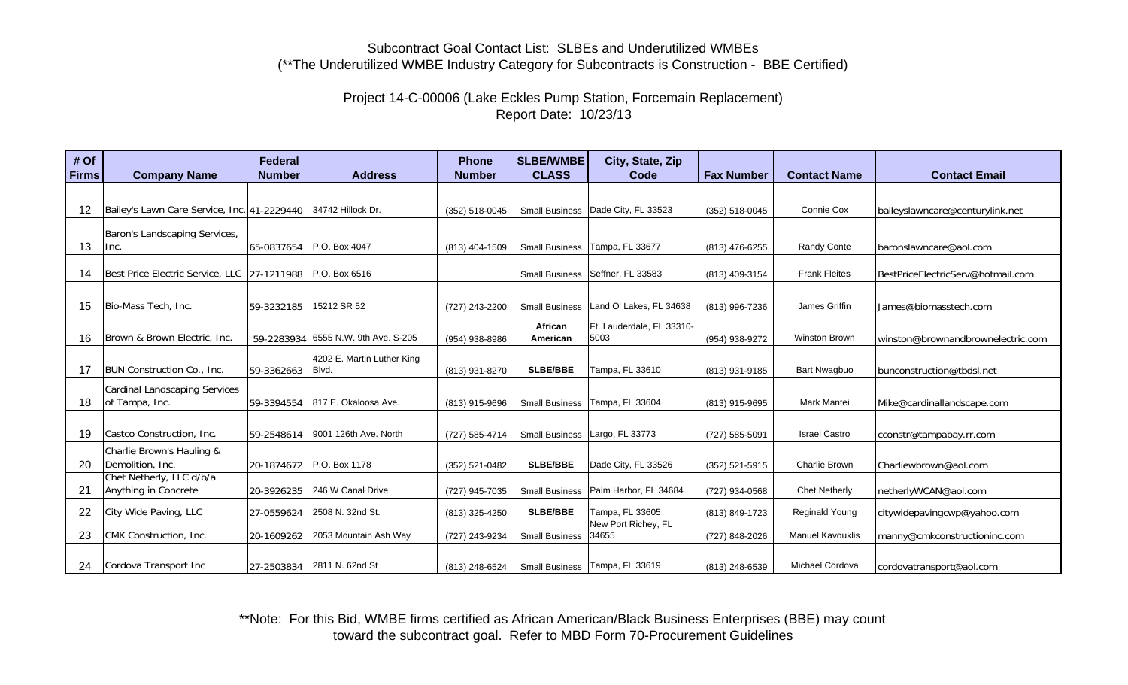# Project 14-C-00006 (Lake Eckles Pump Station, Forcemain Replacement) Report Date: 10/23/13

| # Of<br><b>Firms</b> | <b>Company Name</b>                                       | <b>Federal</b><br><b>Number</b> | <b>Address</b>                      | <b>Phone</b><br><b>Number</b> | <b>SLBE/WMBE</b><br><b>CLASS</b> | City, State, Zip<br>Code                 | <b>Fax Number</b> | <b>Contact Name</b>     | <b>Contact Email</b>              |
|----------------------|-----------------------------------------------------------|---------------------------------|-------------------------------------|-------------------------------|----------------------------------|------------------------------------------|-------------------|-------------------------|-----------------------------------|
|                      |                                                           |                                 |                                     |                               |                                  |                                          |                   |                         |                                   |
|                      |                                                           |                                 |                                     |                               |                                  |                                          |                   |                         |                                   |
| 12                   | Bailey's Lawn Care Service, Inc. 41-2229440               |                                 | 34742 Hillock Dr.                   | (352) 518-0045                |                                  | Small Business   Dade City, FL 33523     | (352) 518-0045    | Connie Cox              | baileyslawncare@centurylink.net   |
|                      | Baron's Landscaping Services,                             |                                 |                                     |                               |                                  |                                          |                   |                         |                                   |
| 13                   | Inc.                                                      |                                 | 65-0837654 P.O. Box 4047            | (813) 404-1509                |                                  | Small Business   Tampa, FL 33677         | (813) 476-6255    | Randy Conte             | baronslawncare@aol.com            |
| 14                   | Best Price Electric Service, LLC 27-1211988 P.O. Box 6516 |                                 |                                     |                               |                                  | Small Business   Seffner, FL 33583       | (813) 409-3154    | <b>Frank Fleites</b>    | BestPriceElectricServ@hotmail.com |
|                      |                                                           |                                 |                                     |                               |                                  |                                          |                   |                         |                                   |
| 15                   | Bio-Mass Tech, Inc.                                       | 59-3232185                      | 15212 SR 52                         | (727) 243-2200                |                                  | Small Business   Land O' Lakes, FL 34638 | (813) 996-7236    | James Griffin           | James@biomasstech.com             |
|                      |                                                           |                                 |                                     |                               | African                          | Ft. Lauderdale, FL 33310-                |                   |                         |                                   |
| 16                   | Brown & Brown Electric, Inc.                              |                                 | 59-2283934 6555 N.W. 9th Ave. S-205 | (954) 938-8986                | American                         | 5003                                     | (954) 938-9272    | Winston Brown           | winston@brownandbrownelectric.com |
|                      |                                                           |                                 | 4202 E. Martin Luther King          |                               |                                  |                                          |                   |                         |                                   |
| 17                   | <b>BUN Construction Co., Inc.</b>                         | 59-3362663                      | Blvd.                               | (813) 931-8270                | SLBE/BBE                         | Tampa, FL 33610                          | (813) 931-9185    | <b>Bart Nwagbuo</b>     | bunconstruction@tbdsl.net         |
|                      | <b>Cardinal Landscaping Services</b>                      |                                 |                                     |                               |                                  |                                          |                   |                         |                                   |
| 18                   | of Tampa, Inc.                                            | 59-3394554                      | 817 E. Okaloosa Ave.                | (813) 915-9696                |                                  | Small Business   Tampa, FL 33604         | (813) 915-9695    | <b>Mark Mantei</b>      | Mike@cardinallandscape.com        |
|                      |                                                           |                                 |                                     |                               |                                  |                                          |                   |                         |                                   |
| 19                   | Castco Construction, Inc.                                 | 59-2548614                      | 9001 126th Ave. North               | (727) 585-4714                |                                  | Small Business   Largo, FL 33773         | (727) 585-5091    | <b>Israel Castro</b>    | cconstr@tampabay.rr.com           |
|                      | Charlie Brown's Hauling &                                 |                                 |                                     |                               |                                  |                                          |                   |                         |                                   |
| 20                   | Demolition, Inc.                                          |                                 | 20-1874672 P.O. Box 1178            | (352) 521-0482                | <b>SLBE/BBE</b>                  | Dade City, FL 33526                      | (352) 521-5915    | Charlie Brown           | Charliewbrown@aol.com             |
|                      | Chet Netherly, LLC d/b/a                                  |                                 |                                     |                               |                                  |                                          |                   |                         |                                   |
| 21                   | Anything in Concrete                                      | 20-3926235                      | 246 W Canal Drive                   | (727) 945-7035                | <b>Small Business</b>            | Palm Harbor, FL 34684                    | (727) 934-0568    | <b>Chet Netherly</b>    | netherlyWCAN@aol.com              |
| 22                   | City Wide Paving, LLC                                     | 27-0559624                      | 2508 N. 32nd St.                    | (813) 325-4250                | <b>SLBE/BBE</b>                  | Tampa, FL 33605                          | (813) 849-1723    | <b>Reginald Young</b>   | citywidepavingcwp@yahoo.com       |
| 23                   | CMK Construction, Inc.                                    | 20-1609262                      | 2053 Mountain Ash Way               | (727) 243-9234                | <b>Small Business</b>            | New Port Richey, FL<br>34655             | (727) 848-2026    | <b>Manuel Kavouklis</b> | manny@cmkconstructioninc.com      |
|                      |                                                           |                                 |                                     |                               |                                  |                                          |                   |                         |                                   |
| 24                   | Cordova Transport Inc                                     |                                 | 27-2503834 2811 N. 62nd St          | (813) 248-6524                |                                  | Small Business   Tampa, FL 33619         | (813) 248-6539    | Michael Cordova         | cordovatransport@aol.com          |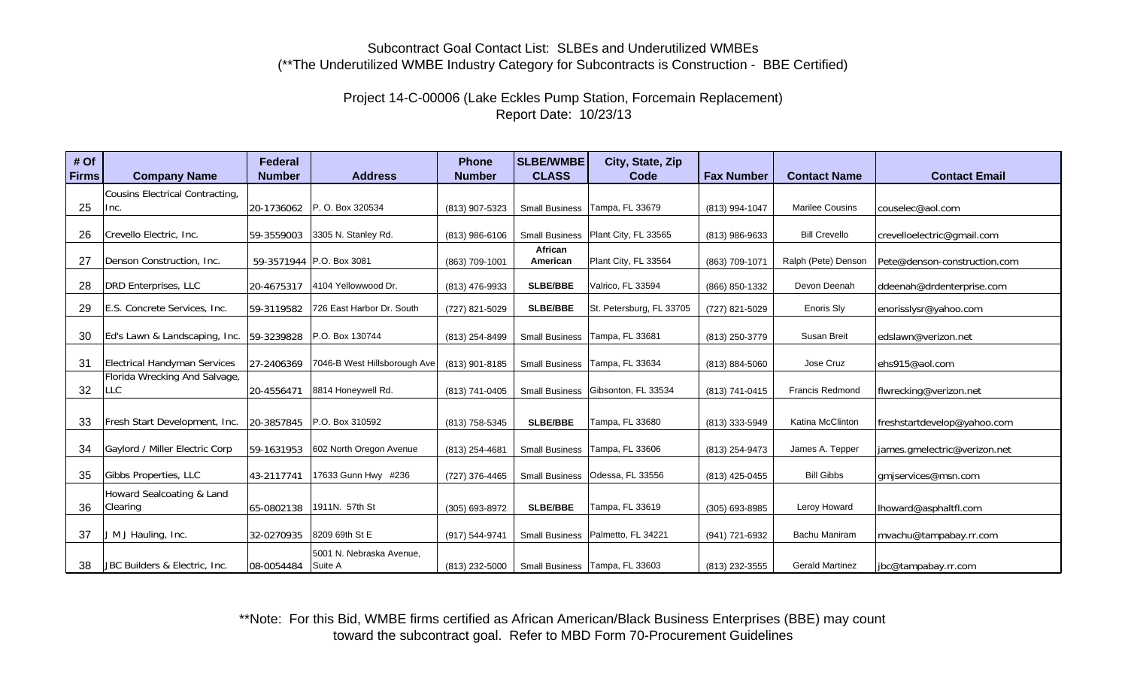# Project 14-C-00006 (Lake Eckles Pump Station, Forcemain Replacement) Report Date: 10/23/13

| # Of<br><b>Firms</b> | <b>Company Name</b>                         | Federal<br><b>Number</b> | <b>Address</b>                      | <b>Phone</b><br><b>Number</b> | <b>SLBE/WMBE</b><br><b>CLASS</b> | City, State, Zip<br>Code              | <b>Fax Number</b> | <b>Contact Name</b>    | <b>Contact Email</b>         |
|----------------------|---------------------------------------------|--------------------------|-------------------------------------|-------------------------------|----------------------------------|---------------------------------------|-------------------|------------------------|------------------------------|
|                      | Cousins Electrical Contracting,             |                          |                                     |                               |                                  |                                       |                   |                        |                              |
| 25                   | Inc.                                        | 20-1736062               | P. O. Box 320534                    | (813) 907-5323                |                                  | Small Business   Tampa, FL 33679      | (813) 994-1047    | <b>Marilee Cousins</b> | couselec@aol.com             |
| 26                   | Crevello Electric, Inc.                     | 59-3559003               | 3305 N. Stanley Rd.                 | (813) 986-6106                |                                  | Small Business   Plant City, FL 33565 | (813) 986-9633    | <b>Bill Crevello</b>   | crevelloelectric@gmail.com   |
|                      |                                             |                          |                                     |                               | African                          |                                       |                   |                        |                              |
| 27                   | Denson Construction, Inc.                   |                          | 59-3571944 P.O. Box 3081            | (863) 709-1001                | American                         | Plant City, FL 33564                  | (863) 709-1071    | Ralph (Pete) Denson    | Pete@denson-construction.com |
| 28                   | DRD Enterprises, LLC                        | 20-4675317               | 4104 Yellowwood Dr.                 | (813) 476-9933                | <b>SLBE/BBE</b>                  | Valrico, FL 33594                     | (866) 850-1332    | Devon Deenah           | ddeenah@drdenterprise.com    |
| 29                   | E.S. Concrete Services, Inc.                | 59-3119582               | 726 East Harbor Dr. South           | (727) 821-5029                | <b>SLBE/BBE</b>                  | St. Petersburg, FL 33705              | (727) 821-5029    | Enoris Sly             | enorisslysr@yahoo.com        |
| 30                   | Ed's Lawn & Landscaping, Inc. 59-3239828    |                          | P.O. Box 130744                     | (813) 254-8499                |                                  | Small Business   Tampa, FL 33681      | (813) 250-3779    | Susan Breit            | edslawn@verizon.net          |
| 31                   | <b>Electrical Handyman Services</b>         | 27-2406369               | 7046-B West Hillsborough Ave        | (813) 901-8185                |                                  | Small Business   Tampa, FL 33634      | (813) 884-5060    | Jose Cruz              | ehs915@aol.com               |
| 32                   | Florida Wrecking And Salvage,<br><b>LLC</b> | 20-4556471               | 8814 Honeywell Rd.                  | (813) 741-0405                | <b>Small Business</b>            | Gibsonton, FL 33534                   | (813) 741-0415    | <b>Francis Redmond</b> | flwrecking@verizon.net       |
| 33                   | Fresh Start Development, Inc.               |                          | 20-3857845 P.O. Box 310592          | (813) 758-5345                | <b>SLBE/BBE</b>                  | Tampa, FL 33680                       | (813) 333-5949    | Katina McClinton       | freshstartdevelop@yahoo.com  |
| 34                   | Gaylord / Miller Electric Corp              | 59-1631953               | 602 North Oregon Avenue             | (813) 254-4681                | <b>Small Business</b>            | Tampa, FL 33606                       | (813) 254-9473    | James A. Tepper        | james.gmelectric@verizon.net |
| 35                   | Gibbs Properties, LLC                       | 43-2117741               | 17633 Gunn Hwy #236                 | (727) 376-4465                | <b>Small Business</b>            | Odessa, FL 33556                      | (813) 425-0455    | <b>Bill Gibbs</b>      | gmiservices@msn.com          |
| 36                   | Howard Sealcoating & Land<br>Clearing       | 65-0802138               | 1911N. 57th St                      | (305) 693-8972                | <b>SLBE/BBE</b>                  | Tampa, FL 33619                       | (305) 693-8985    | Leroy Howard           | Ihoward@asphaltfl.com        |
| 37                   | J M J Hauling, Inc.                         | 32-0270935               | 8209 69th St E                      | (917) 544-9741                | <b>Small Business</b>            | Palmetto, FL 34221                    | (941) 721-6932    | Bachu Maniram          | mvachu@tampabay.rr.com       |
| 38                   | JBC Builders & Electric, Inc.               | 08-0054484               | 5001 N. Nebraska Avenue,<br>Suite A | (813) 232-5000                |                                  | Small Business   Tampa, FL 33603      | (813) 232-3555    | <b>Gerald Martinez</b> | jbc@tampabay.rr.com          |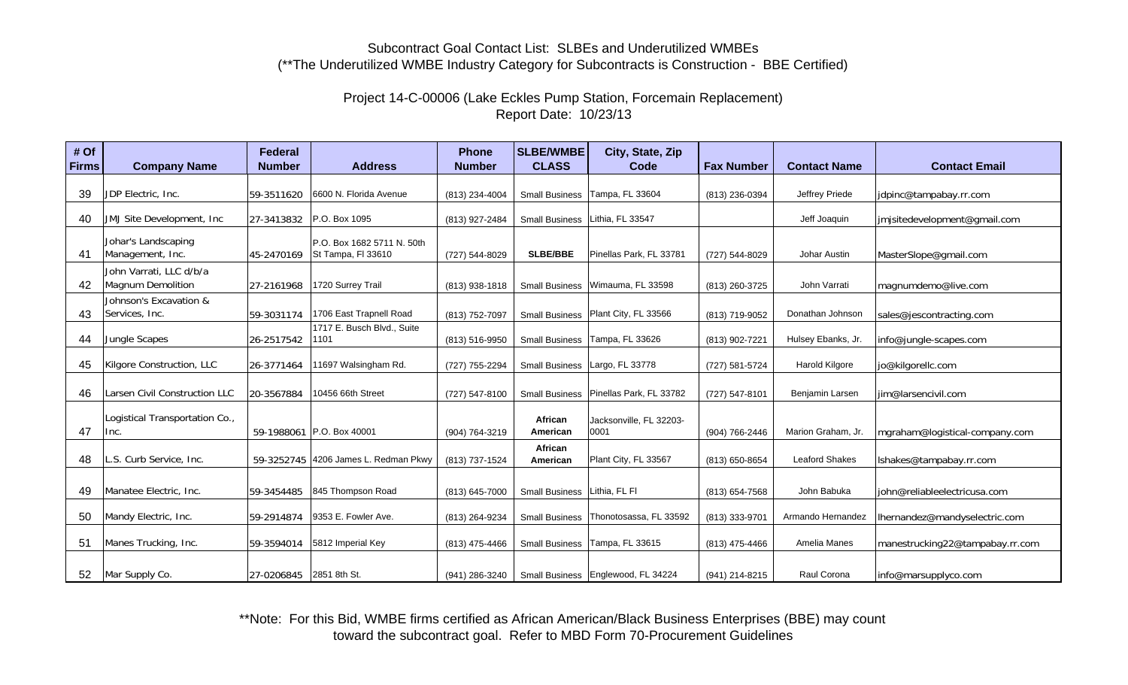# Project 14-C-00006 (Lake Eckles Pump Station, Forcemain Replacement) Report Date: 10/23/13

| # Of<br><b>Firms</b> | <b>Company Name</b>                          | <b>Federal</b><br><b>Number</b> | <b>Address</b>                                   | <b>Phone</b><br><b>Number</b> | <b>SLBE/WMBE</b><br><b>CLASS</b> | City, State, Zip<br>Code                 | <b>Fax Number</b> | <b>Contact Name</b>   | <b>Contact Email</b>            |
|----------------------|----------------------------------------------|---------------------------------|--------------------------------------------------|-------------------------------|----------------------------------|------------------------------------------|-------------------|-----------------------|---------------------------------|
|                      |                                              |                                 |                                                  |                               |                                  |                                          |                   |                       |                                 |
| 39                   | JDP Electric, Inc.                           | 59-3511620                      | 6600 N. Florida Avenue                           | (813) 234-4004                |                                  | Small Business Tampa, FL 33604           | (813) 236-0394    | Jeffrey Priede        | jdpinc@tampabay.rr.com          |
| 40                   | JMJ Site Development, Inc.                   | 27-3413832                      | P.O. Box 1095                                    | (813) 927-2484                |                                  | Small Business   Lithia, FL 33547        |                   | Jeff Joaquin          | imjsitedevelopment@gmail.com    |
| 41                   | Johar's Landscaping<br>Management, Inc.      | 45-2470169                      | P.O. Box 1682 5711 N. 50th<br>St Tampa, FI 33610 | (727) 544-8029                | SLBE/BBE                         | Pinellas Park, FL 33781                  | (727) 544-8029    | Johar Austin          | MasterSlope@gmail.com           |
| 42                   | John Varrati, LLC d/b/a<br>Magnum Demolition | 27-2161968                      | 1720 Surrey Trail                                | (813) 938-1818                | <b>Small Business</b>            | Wimauma, FL 33598                        | (813) 260-3725    | John Varrati          | magnumdemo@live.com             |
| 43                   | Johnson's Excavation &<br>Services, Inc.     | 59-3031174                      | 1706 East Trapnell Road                          | (813) 752-7097                |                                  | Small Business   Plant City, FL 33566    | (813) 719-9052    | Donathan Johnson      | sales@jescontracting.com        |
| 44                   | Jungle Scapes                                | 26-2517542                      | 1717 E. Busch Blvd., Suite<br>1101               | (813) 516-9950                | <b>Small Business</b>            | Tampa, FL 33626                          | (813) 902-7221    | Hulsey Ebanks, Jr.    | info@jungle-scapes.com          |
| 45                   | Kilgore Construction, LLC                    | 26-3771464                      | 11697 Walsingham Rd.                             | (727) 755-2294                |                                  | Small Business   Largo, FL 33778         | (727) 581-5724    | Harold Kilgore        | jo@kilgorellc.com               |
| 46                   | Larsen Civil Construction LLC                | 20-3567884                      | 10456 66th Street                                | (727) 547-8100                |                                  | Small Business   Pinellas Park, FL 33782 | (727) 547-8101    | Benjamin Larsen       | liim@larsencivil.com            |
| 47                   | Logistical Transportation Co.,<br>Inc.       |                                 | 59-1988061 P.O. Box 40001                        | (904) 764-3219                | African<br>American              | Jacksonville, FL 32203-<br>0001          | (904) 766-2446    | Marion Graham, Jr.    | mgraham@logistical-company.com  |
| 48                   | L.S. Curb Service, Inc.                      |                                 | 59-3252745 4206 James L. Redman Pkwy             | (813) 737-1524                | African<br>American              | Plant City, FL 33567                     | (813) 650-8654    | <b>Leaford Shakes</b> | Ishakes@tampabay.rr.com         |
| 49                   | Manatee Electric, Inc.                       | 59-3454485                      | 845 Thompson Road                                | (813) 645-7000                | Small Business   Lithia, FL FI   |                                          | (813) 654-7568    | John Babuka           | john@reliableelectricusa.com    |
| 50                   | Mandy Electric, Inc.                         | 59-2914874                      | 9353 E. Fowler Ave.                              | (813) 264-9234                | <b>Small Business</b>            | Thonotosassa, FL 33592                   | (813) 333-9701    | Armando Hernandez     | Ihernandez@mandyselectric.com   |
| 51                   | Manes Trucking, Inc.                         | 59-3594014                      | 5812 Imperial Key                                | (813) 475-4466                | <b>Small Business</b>            | Tampa, FL 33615                          | (813) 475-4466    | Amelia Manes          | manestrucking22@tampabay.rr.com |
| 52                   | Mar Supply Co.                               | 27-0206845 2851 8th St.         |                                                  | (941) 286-3240                |                                  | Small Business   Englewood, FL 34224     | (941) 214-8215    | Raul Corona           | info@marsupplyco.com            |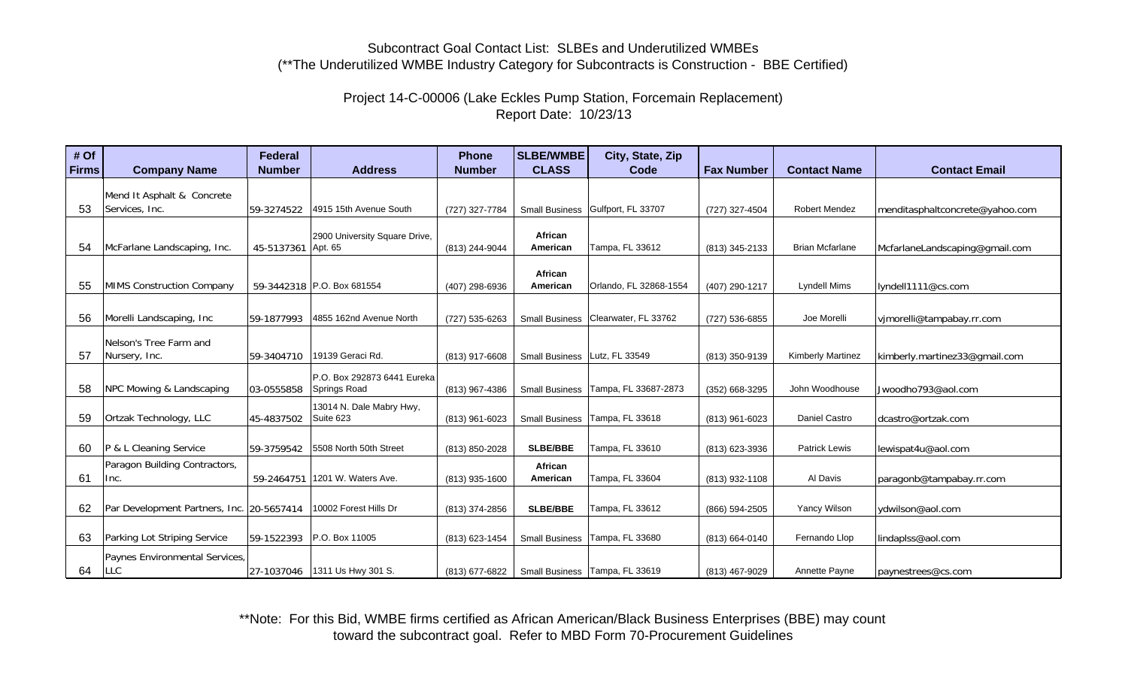# Project 14-C-00006 (Lake Eckles Pump Station, Forcemain Replacement) Report Date: 10/23/13

| # Of  |                                           | <b>Federal</b> |                                          | <b>Phone</b>   | <b>SLBE/WMBE</b>      | City, State, Zip                  |                   |                          |                                 |
|-------|-------------------------------------------|----------------|------------------------------------------|----------------|-----------------------|-----------------------------------|-------------------|--------------------------|---------------------------------|
| Firms | <b>Company Name</b>                       | <b>Number</b>  | <b>Address</b>                           | <b>Number</b>  | <b>CLASS</b>          | Code                              | <b>Fax Number</b> | <b>Contact Name</b>      | <b>Contact Email</b>            |
|       | Mend It Asphalt & Concrete                |                |                                          |                |                       |                                   |                   |                          |                                 |
| 53    | Services, Inc.                            | 59-3274522     | 4915 15th Avenue South                   | (727) 327-7784 |                       | Small Business Gulfport, FL 33707 | (727) 327-4504    | <b>Robert Mendez</b>     | menditasphaltconcrete@yahoo.com |
|       |                                           |                |                                          |                |                       |                                   |                   |                          |                                 |
| 54    | McFarlane Landscaping, Inc.               | 45-5137361     | 2900 University Square Drive,<br>Apt. 65 | (813) 244-9044 | African<br>American   | Tampa, FL 33612                   | (813) 345-2133    | <b>Brian Mcfarlane</b>   | McfarlaneLandscaping@gmail.com  |
|       |                                           |                |                                          |                |                       |                                   |                   |                          |                                 |
|       |                                           |                |                                          |                | African               |                                   |                   |                          |                                 |
| 55    | <b>MIMS Construction Company</b>          |                | 59-3442318 P.O. Box 681554               | (407) 298-6936 | American              | Orlando, FL 32868-1554            | (407) 290-1217    | Lyndell Mims             | lyndell1111@cs.com              |
|       |                                           |                |                                          |                |                       |                                   |                   |                          |                                 |
| 56    | Morelli Landscaping, Inc                  | 59-1877993     | 4855 162nd Avenue North                  | (727) 535-6263 | <b>Small Business</b> | Clearwater, FL 33762              | (727) 536-6855    | Joe Morelli              | vimorelli@tampabay.rr.com       |
|       | Nelson's Tree Farm and                    |                |                                          |                |                       |                                   |                   |                          |                                 |
| 57    | Nursery, Inc.                             | 59-3404710     | 19139 Geraci Rd.                         | (813) 917-6608 | <b>Small Business</b> | Lutz, FL 33549                    | (813) 350-9139    | <b>Kimberly Martinez</b> | kimberly.martinez33@gmail.com   |
|       |                                           |                | P.O. Box 292873 6441 Eureka              |                |                       |                                   |                   |                          |                                 |
| 58    | NPC Mowing & Landscaping                  | 03-0555858     | Springs Road                             | (813) 967-4386 | <b>Small Business</b> | Tampa, FL 33687-2873              | (352) 668-3295    | John Woodhouse           | Jwoodho793@aol.com              |
|       |                                           |                | 13014 N. Dale Mabry Hwy,                 |                |                       |                                   |                   |                          |                                 |
| 59    | Ortzak Technology, LLC                    | 45-4837502     | Suite 623                                | (813) 961-6023 |                       | Small Business   Tampa, FL 33618  | (813) 961-6023    | Daniel Castro            | dcastro@ortzak.com              |
|       |                                           |                |                                          |                |                       |                                   |                   |                          |                                 |
| 60    | P & L Cleaning Service                    | 59-3759542     | 5508 North 50th Street                   | (813) 850-2028 | <b>SLBE/BBE</b>       | Tampa, FL 33610                   | (813) 623-3936    | <b>Patrick Lewis</b>     | lewispat4u@aol.com              |
|       | Paragon Building Contractors,             |                |                                          |                | African               |                                   |                   |                          |                                 |
| 61    | Inc.                                      | 59-2464751     | 1201 W. Waters Ave.                      | (813) 935-1600 | American              | Tampa, FL 33604                   | (813) 932-1108    | Al Davis                 | paragonb@tampabay.rr.com        |
|       |                                           |                |                                          |                |                       |                                   |                   |                          |                                 |
| 62    | Par Development Partners, Inc. 20-5657414 |                | 10002 Forest Hills Dr                    | (813) 374-2856 | <b>SLBE/BBE</b>       | Tampa, FL 33612                   | (866) 594-2505    | Yancy Wilson             | ydwilson@aol.com                |
|       |                                           |                |                                          |                |                       |                                   |                   |                          |                                 |
| 63    | Parking Lot Striping Service              | 59-1522393     | P.O. Box 11005                           | (813) 623-1454 | <b>Small Business</b> | Tampa, FL 33680                   | (813) 664-0140    | Fernando Llop            | lindaplss@aol.com               |
|       | Paynes Environmental Services,            |                |                                          |                |                       |                                   |                   |                          |                                 |
| 64    | LLC                                       | 27-1037046     | 1311 Us Hwy 301 S.                       | (813) 677-6822 |                       | Small Business   Tampa, FL 33619  | (813) 467-9029    | Annette Payne            | paynestrees@cs.com              |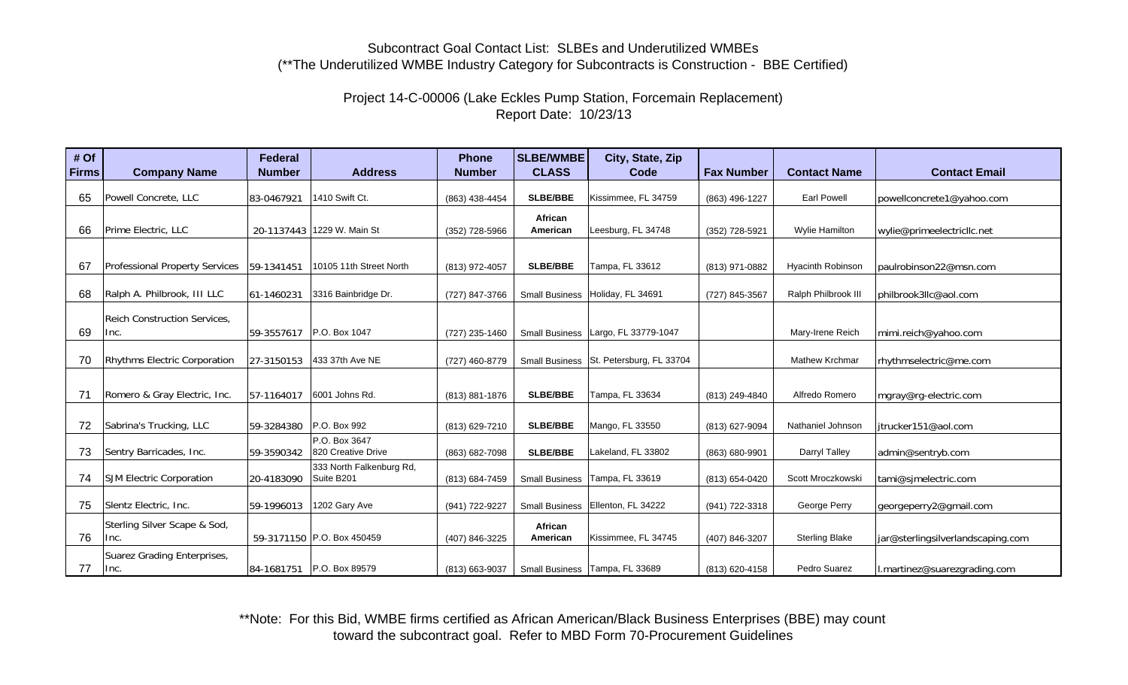# Project 14-C-00006 (Lake Eckles Pump Station, Forcemain Replacement) Report Date: 10/23/13

| # Of         |                                       | <b>Federal</b> |                                        | <b>Phone</b>   | <b>SLBE/WMBE</b>      | City, State, Zip                        |                   |                          |                                   |
|--------------|---------------------------------------|----------------|----------------------------------------|----------------|-----------------------|-----------------------------------------|-------------------|--------------------------|-----------------------------------|
| <b>Firms</b> | <b>Company Name</b>                   | <b>Number</b>  | <b>Address</b>                         | <b>Number</b>  | <b>CLASS</b>          | Code                                    | <b>Fax Number</b> | <b>Contact Name</b>      | <b>Contact Email</b>              |
| 65           | Powell Concrete, LLC                  | 83-0467921     | 1410 Swift Ct.                         | (863) 438-4454 | <b>SLBE/BBE</b>       | Kissimmee, FL 34759                     | (863) 496-1227    | <b>Earl Powell</b>       | powellconcrete1@yahoo.com         |
| 66           | Prime Electric, LLC                   | 20-1137443     | 1229 W. Main St                        | (352) 728-5966 | African<br>American   | Leesburg, FL 34748                      | (352) 728-5921    | Wylie Hamilton           | wylie@primeelectricllc.net        |
| 67           | <b>Professional Property Services</b> | 59-1341451     | 10105 11th Street North                | (813) 972-4057 | <b>SLBE/BBE</b>       | Tampa, FL 33612                         | (813) 971-0882    | <b>Hyacinth Robinson</b> | paulrobinson22@msn.com            |
| 68           | Ralph A. Philbrook, III LLC           | 61-1460231     | 3316 Bainbridge Dr.                    | (727) 847-3766 | <b>Small Business</b> | Holiday, FL 34691                       | (727) 845-3567    | Ralph Philbrook III      | philbrook3llc@aol.com             |
| 69           | Reich Construction Services,<br>Inc.  | 59-3557617     | P.O. Box 1047                          | (727) 235-1460 | <b>Small Business</b> | Largo, FL 33779-1047                    |                   | Mary-Irene Reich         | mimi.reich@yahoo.com              |
| 70           | <b>Rhythms Electric Corporation</b>   | 27-3150153     | 433 37th Ave NE                        | (727) 460-8779 |                       | Small Business St. Petersburg, FL 33704 |                   | <b>Mathew Krchmar</b>    | rhythmselectric@me.com            |
| 71           | Romero & Gray Electric, Inc.          | 57-1164017     | 6001 Johns Rd.                         | (813) 881-1876 | <b>SLBE/BBE</b>       | Tampa, FL 33634                         | (813) 249-4840    | Alfredo Romero           | mgray@rg-electric.com             |
| 72           | Sabrina's Trucking, LLC               | 59-3284380     | P.O. Box 992                           | (813) 629-7210 | <b>SLBE/BBE</b>       | Mango, FL 33550                         | (813) 627-9094    | Nathaniel Johnson        | jtrucker151@aol.com               |
| 73           | Sentry Barricades, Inc.               | 59-3590342     | P.O. Box 3647<br>820 Creative Drive    | (863) 682-7098 | <b>SLBE/BBE</b>       | Lakeland, FL 33802                      | (863) 680-9901    | Darryl Talley            | admin@sentryb.com                 |
| 74           | <b>SJM Electric Corporation</b>       | 20-4183090     | 333 North Falkenburg Rd,<br>Suite B201 | (813) 684-7459 | <b>Small Business</b> | Tampa, FL 33619                         | (813) 654-0420    | Scott Mroczkowski        | tami@simelectric.com              |
| 75           | Slentz Electric, Inc.                 | 59-1996013     | 1202 Gary Ave                          | (941) 722-9227 | <b>Small Business</b> | Ellenton, FL 34222                      | (941) 722-3318    | George Perry             | georgeperry2@gmail.com            |
| 76           | Sterling Silver Scape & Sod,<br> Inc. |                | 59-3171150 P.O. Box 450459             | (407) 846-3225 | African<br>American   | Kissimmee, FL 34745                     | (407) 846-3207    | <b>Sterling Blake</b>    | jar@sterlingsilverlandscaping.com |
| 77           | Suarez Grading Enterprises,<br> Inc.  |                | 84-1681751 P.O. Box 89579              | (813) 663-9037 |                       | Small Business   Tampa, FL 33689        | (813) 620-4158    | Pedro Suarez             | l.martinez@suarezgrading.com      |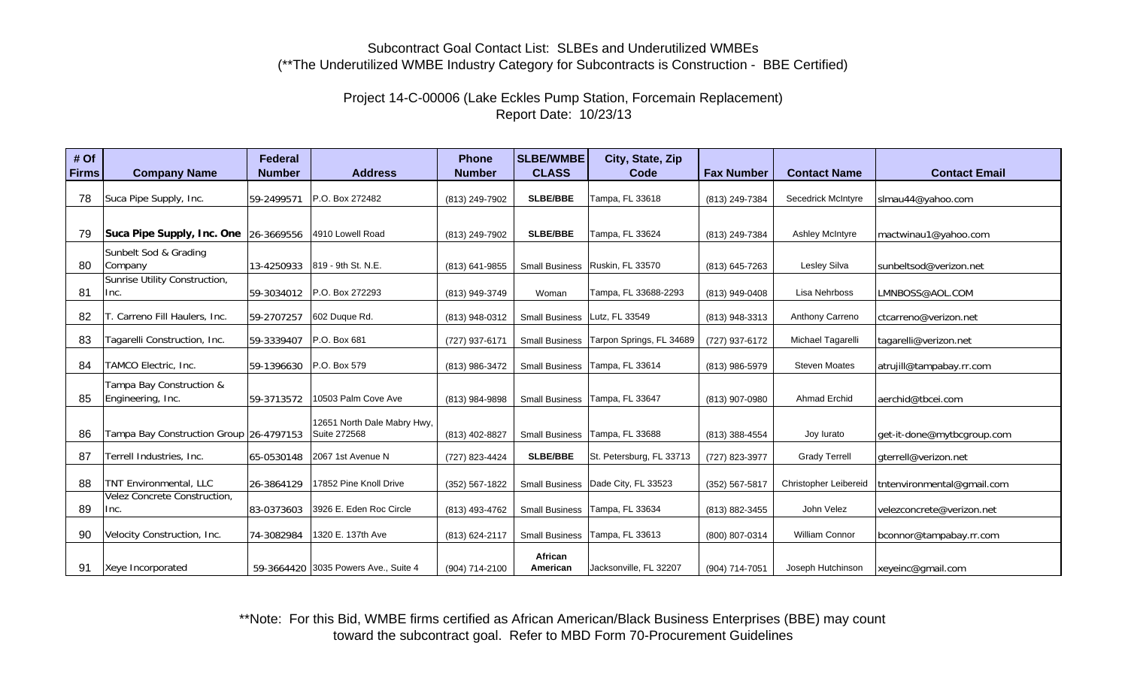# Project 14-C-00006 (Lake Eckles Pump Station, Forcemain Replacement) Report Date: 10/23/13

| # Of         |                                               | <b>Federal</b> |                                             | <b>Phone</b>   | <b>SLBE/WMBE</b>      | City, State, Zip                     |                    |                           |                            |
|--------------|-----------------------------------------------|----------------|---------------------------------------------|----------------|-----------------------|--------------------------------------|--------------------|---------------------------|----------------------------|
| <b>Firms</b> | <b>Company Name</b>                           | <b>Number</b>  | <b>Address</b>                              | <b>Number</b>  | <b>CLASS</b>          | Code                                 | <b>Fax Number</b>  | <b>Contact Name</b>       | <b>Contact Email</b>       |
| 78           | Suca Pipe Supply, Inc.                        | 59-2499571     | P.O. Box 272482                             | (813) 249-7902 | <b>SLBE/BBE</b>       | Tampa, FL 33618                      | (813) 249-7384     | <b>Secedrick McIntyre</b> | slmau44@yahoo.com          |
| 79           | Suca Pipe Supply, Inc. One 26-3669556         |                | 4910 Lowell Road                            | (813) 249-7902 | <b>SLBE/BBE</b>       | Tampa, FL 33624                      | (813) 249-7384     | <b>Ashley McIntyre</b>    | mactwinau1@yahoo.com       |
| 80           | Sunbelt Sod & Grading<br>Company              | 13-4250933     | 819 - 9th St. N.E.                          | (813) 641-9855 |                       | Small Business   Ruskin, FL 33570    | (813) 645-7263     | Lesley Silva              | sunbeltsod@verizon.net     |
| 81           | Sunrise Utility Construction,<br>Inc.         | 59-3034012     | P.O. Box 272293                             | (813) 949-3749 | Woman                 | Tampa, FL 33688-2293                 | (813) 949-0408     | Lisa Nehrboss             | LMNBOSS@AOL.COM            |
| 82           | . Carreno Fill Haulers, Inc.                  | 59-2707257     | 602 Duque Rd.                               | (813) 948-0312 | <b>Small Business</b> | Lutz, FL 33549                       | (813) 948-3313     | Anthony Carreno           | ctcarreno@verizon.net      |
| 83           | Tagarelli Construction, Inc.                  | 59-3339407     | P.O. Box 681                                | (727) 937-6171 | <b>Small Business</b> | Tarpon Springs, FL 34689             | (727) 937-6172     | Michael Tagarelli         | tagarelli@verizon.net      |
| 84           | TAMCO Electric, Inc.                          | 59-1396630     | P.O. Box 579                                | (813) 986-3472 | <b>Small Business</b> | Tampa, FL 33614                      | (813) 986-5979     | <b>Steven Moates</b>      | atrujill@tampabay.rr.com   |
| 85           | Tampa Bay Construction &<br>Engineering, Inc. | 59-3713572     | 10503 Palm Cove Ave                         | (813) 984-9898 | <b>Small Business</b> | Tampa, FL 33647                      | (813) 907-0980     | <b>Ahmad Erchid</b>       | aerchid@tbcei.com          |
| 86           | Tampa Bay Construction Group 26-4797153       |                | 12651 North Dale Mabry Hwy,<br>Suite 272568 | (813) 402-8827 | <b>Small Business</b> | Tampa, FL 33688                      | (813) 388-4554     | Joy lurato                | get-it-done@mytbcgroup.com |
| 87           | Terrell Industries, Inc.                      | 65-0530148     | 2067 1st Avenue N                           | (727) 823-4424 | <b>SLBE/BBE</b>       | St. Petersburg, FL 33713             | (727) 823-3977     | <b>Grady Terrell</b>      | gterrell@verizon.net       |
| 88           | TNT Environmental, LLC                        | 26-3864129     | 17852 Pine Knoll Drive                      | (352) 567-1822 |                       | Small Business   Dade City, FL 33523 | $(352) 567 - 5817$ | Christopher Leibereid     | tntenvironmental@gmail.com |
| 89           | Velez Concrete Construction,<br>Inc.          | 83-0373603     | 3926 E. Eden Roc Circle                     | (813) 493-4762 |                       | Small Business   Tampa, FL 33634     | (813) 882-3455     | John Velez                | velezconcrete@verizon.net  |
| 90           | Velocity Construction, Inc.                   | 74-3082984     | 1320 E. 137th Ave                           | (813) 624-2117 | <b>Small Business</b> | Tampa, FL 33613                      | (800) 807-0314     | William Connor            | bconnor@tampabay.rr.com    |
| 91           | Xeye Incorporated                             |                | 59-3664420 3035 Powers Ave., Suite 4        | (904) 714-2100 | African<br>American   | Jacksonville, FL 32207               | (904) 714-7051     | Joseph Hutchinson         | xeyeinc@gmail.com          |